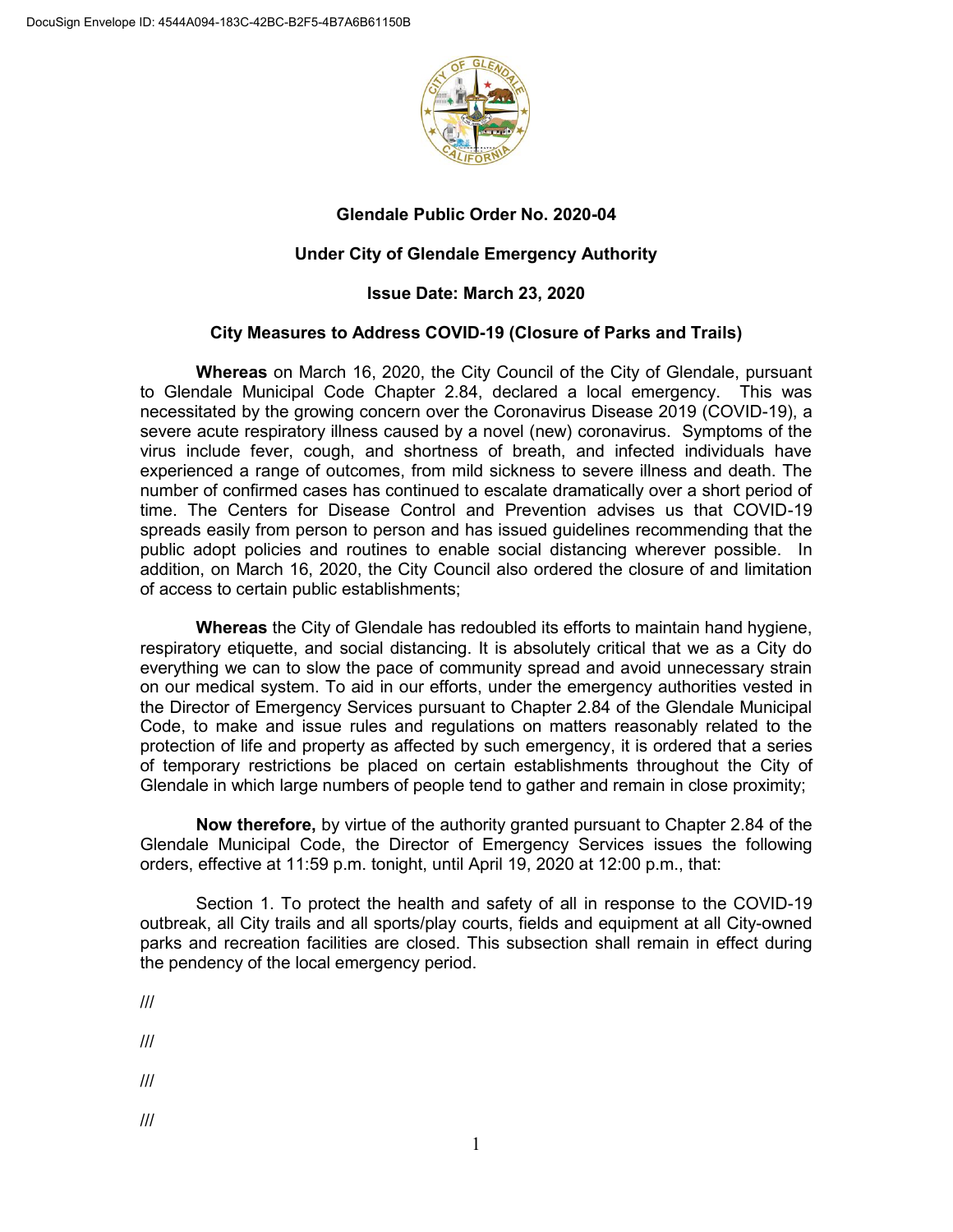

## **Glendale Public Order No. 2020-04**

## **Under City of Glendale Emergency Authority**

## **Issue Date: March 23, 2020**

## **City Measures to Address COVID-19 (Closure of Parks and Trails)**

**Whereas** on March 16, 2020, the City Council of the City of Glendale, pursuant to Glendale Municipal Code Chapter 2.84, declared a local emergency. This was necessitated by the growing concern over the Coronavirus Disease 2019 (COVID-19), a severe acute respiratory illness caused by a novel (new) coronavirus. Symptoms of the virus include fever, cough, and shortness of breath, and infected individuals have experienced a range of outcomes, from mild sickness to severe illness and death. The number of confirmed cases has continued to escalate dramatically over a short period of time. The Centers for Disease Control and Prevention advises us that COVID-19 spreads easily from person to person and has issued guidelines recommending that the public adopt policies and routines to enable social distancing wherever possible. In addition, on March 16, 2020, the City Council also ordered the closure of and limitation of access to certain public establishments;

**Whereas** the City of Glendale has redoubled its efforts to maintain hand hygiene, respiratory etiquette, and social distancing. It is absolutely critical that we as a City do everything we can to slow the pace of community spread and avoid unnecessary strain on our medical system. To aid in our efforts, under the emergency authorities vested in the Director of Emergency Services pursuant to Chapter 2.84 of the Glendale Municipal Code, to make and issue rules and regulations on matters reasonably related to the protection of life and property as affected by such emergency, it is ordered that a series of temporary restrictions be placed on certain establishments throughout the City of Glendale in which large numbers of people tend to gather and remain in close proximity;

**Now therefore,** by virtue of the authority granted pursuant to Chapter 2.84 of the Glendale Municipal Code, the Director of Emergency Services issues the following orders, effective at 11:59 p.m. tonight, until April 19, 2020 at 12:00 p.m., that:

Section 1. To protect the health and safety of all in response to the COVID-19 outbreak, all City trails and all sports/play courts, fields and equipment at all City-owned parks and recreation facilities are closed. This subsection shall remain in effect during the pendency of the local emergency period.

///

- ///
- ///

<sup>///</sup>